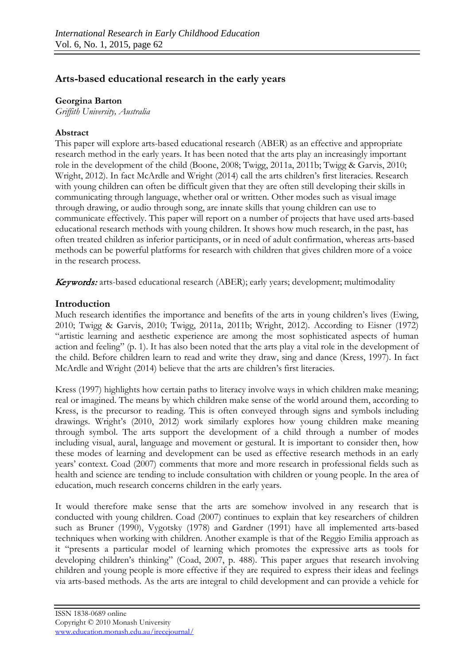# **Arts-based educational research in the early years**

### **Georgina Barton**

*Griffith University, Australia*

## **Abstract**

This paper will explore arts-based educational research (ABER) as an effective and appropriate research method in the early years. It has been noted that the arts play an increasingly important role in the development of the child (Boone, 2008; Twigg, 2011a, 2011b; Twigg & Garvis, 2010; Wright, 2012). In fact McArdle and Wright (2014) call the arts children's first literacies. Research with young children can often be difficult given that they are often still developing their skills in communicating through language, whether oral or written. Other modes such as visual image through drawing, or audio through song, are innate skills that young children can use to communicate effectively. This paper will report on a number of projects that have used arts-based educational research methods with young children. It shows how much research, in the past, has often treated children as inferior participants, or in need of adult confirmation, whereas arts-based methods can be powerful platforms for research with children that gives children more of a voice in the research process.

Keywords: arts-based educational research (ABER); early years; development; multimodality

# **Introduction**

Much research identifies the importance and benefits of the arts in young children's lives (Ewing, 2010; Twigg & Garvis, 2010; Twigg, 2011a, 2011b; Wright, 2012). According to Eisner (1972) "artistic learning and aesthetic experience are among the most sophisticated aspects of human action and feeling" (p. 1). It has also been noted that the arts play a vital role in the development of the child. Before children learn to read and write they draw, sing and dance (Kress, 1997). In fact McArdle and Wright (2014) believe that the arts are children's first literacies.

Kress (1997) highlights how certain paths to literacy involve ways in which children make meaning; real or imagined. The means by which children make sense of the world around them, according to Kress, is the precursor to reading. This is often conveyed through signs and symbols including drawings. Wright's (2010, 2012) work similarly explores how young children make meaning through symbol. The arts support the development of a child through a number of modes including visual, aural, language and movement or gestural. It is important to consider then, how these modes of learning and development can be used as effective research methods in an early years' context. Coad (2007) comments that more and more research in professional fields such as health and science are tending to include consultation with children or young people. In the area of education, much research concerns children in the early years.

It would therefore make sense that the arts are somehow involved in any research that is conducted with young children. Coad (2007) continues to explain that key researchers of children such as Bruner (1990), Vygotsky (1978) and Gardner (1991) have all implemented arts-based techniques when working with children. Another example is that of the Reggio Emilia approach as it "presents a particular model of learning which promotes the expressive arts as tools for developing children's thinking" (Coad, 2007, p. 488). This paper argues that research involving children and young people is more effective if they are required to express their ideas and feelings via arts-based methods. As the arts are integral to child development and can provide a vehicle for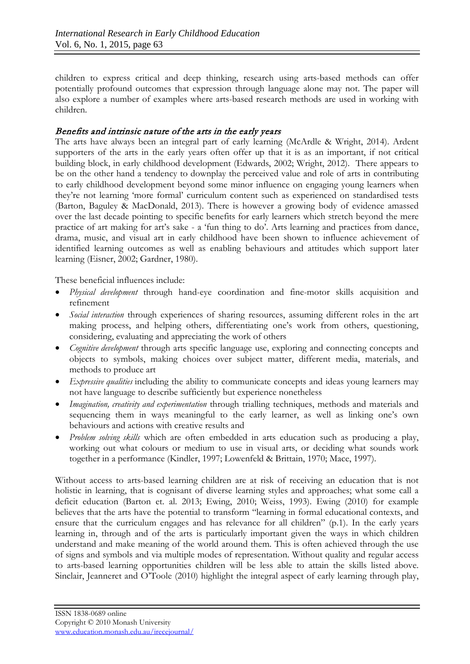children to express critical and deep thinking, research using arts-based methods can offer potentially profound outcomes that expression through language alone may not. The paper will also explore a number of examples where arts-based research methods are used in working with children.

# Benefits and intrinsic nature of the arts in the early years

The arts have always been an integral part of early learning (McArdle & Wright, 2014). Ardent supporters of the arts in the early years often offer up that it is as an important, if not critical building block, in early childhood development (Edwards, 2002; Wright, 2012). There appears to be on the other hand a tendency to downplay the perceived value and role of arts in contributing to early childhood development beyond some minor influence on engaging young learners when they're not learning 'more formal' curriculum content such as experienced on standardised tests (Barton, Baguley & MacDonald, 2013). There is however a growing body of evidence amassed over the last decade pointing to specific benefits for early learners which stretch beyond the mere practice of art making for art's sake - a 'fun thing to do'. Arts learning and practices from dance, drama, music, and visual art in early childhood have been shown to influence achievement of identified learning outcomes as well as enabling behaviours and attitudes which support later learning (Eisner, 2002; Gardner, 1980).

These beneficial influences include:

- *Physical development* through hand-eye coordination and fine-motor skills acquisition and refinement
- *Social interaction* through experiences of sharing resources, assuming different roles in the art making process, and helping others, differentiating one's work from others, questioning, considering, evaluating and appreciating the work of others
- *Cognitive development* through arts specific language use, exploring and connecting concepts and objects to symbols, making choices over subject matter, different media, materials, and methods to produce art
- *Expressive qualities* including the ability to communicate concepts and ideas young learners may not have language to describe sufficiently but experience nonetheless
- *Imagination, creativity and experimentation* through trialling techniques, methods and materials and sequencing them in ways meaningful to the early learner, as well as linking one's own behaviours and actions with creative results and
- *Problem solving skills* which are often embedded in arts education such as producing a play, working out what colours or medium to use in visual arts, or deciding what sounds work together in a performance (Kindler, 1997; Lowenfeld & Brittain, 1970; Mace, 1997).

Without access to arts-based learning children are at risk of receiving an education that is not holistic in learning, that is cognisant of diverse learning styles and approaches; what some call a deficit education (Barton et. al. 2013; Ewing, 2010; Weiss, 1993). Ewing (2010) for example believes that the arts have the potential to transform "learning in formal educational contexts, and ensure that the curriculum engages and has relevance for all children" (p.1). In the early years learning in, through and of the arts is particularly important given the ways in which children understand and make meaning of the world around them. This is often achieved through the use of signs and symbols and via multiple modes of representation. Without quality and regular access to arts-based learning opportunities children will be less able to attain the skills listed above. Sinclair, Jeanneret and O'Toole (2010) highlight the integral aspect of early learning through play,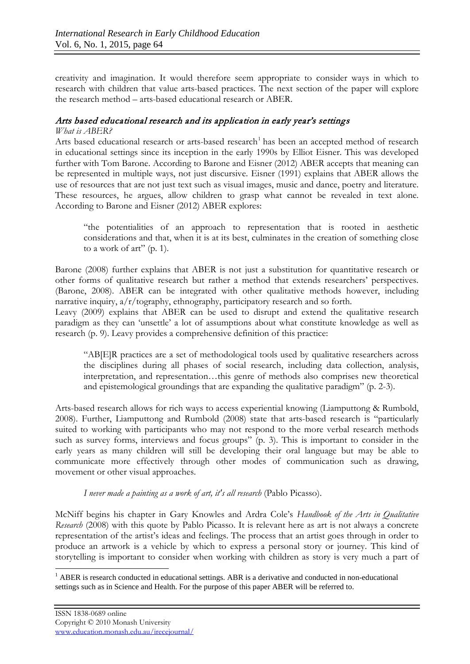creativity and imagination. It would therefore seem appropriate to consider ways in which to research with children that value arts-based practices. The next section of the paper will explore the research method – arts-based educational research or ABER.

# Arts based educational research and its application in early year's settings

#### *What is ABER?*

Arts based educational research or arts-based research<sup>[1](#page-2-0)</sup> has been an accepted method of research in educational settings since its inception in the early 1990s by Elliot Eisner. This was developed further with Tom Barone. According to Barone and Eisner (2012) ABER accepts that meaning can be represented in multiple ways, not just discursive. Eisner (1991) explains that ABER allows the use of resources that are not just text such as visual images, music and dance, poetry and literature. These resources, he argues, allow children to grasp what cannot be revealed in text alone. According to Barone and Eisner (2012) ABER explores:

"the potentialities of an approach to representation that is rooted in aesthetic considerations and that, when it is at its best, culminates in the creation of something close to a work of art" (p. 1).

Barone (2008) further explains that ABER is not just a substitution for quantitative research or other forms of qualitative research but rather a method that extends researchers' perspectives. (Barone, 2008). ABER can be integrated with other qualitative methods however, including narrative inquiry,  $a/r$ /tography, ethnography, participatory research and so forth.

Leavy (2009) explains that ABER can be used to disrupt and extend the qualitative research paradigm as they can 'unsettle' a lot of assumptions about what constitute knowledge as well as research (p. 9). Leavy provides a comprehensive definition of this practice:

"AB[E]R practices are a set of methodological tools used by qualitative researchers across the disciplines during all phases of social research, including data collection, analysis, interpretation, and representation…this genre of methods also comprises new theoretical and epistemological groundings that are expanding the qualitative paradigm" (p. 2-3).

Arts-based research allows for rich ways to access experiential knowing (Liamputtong & Rumbold, 2008). Further, Liamputtong and Rumbold (2008) state that arts-based research is "particularly suited to working with participants who may not respond to the more verbal research methods such as survey forms, interviews and focus groups" (p. 3). This is important to consider in the early years as many children will still be developing their oral language but may be able to communicate more effectively through other modes of communication such as drawing, movement or other visual approaches.

#### *I never made a painting as a work of art, it's all research* (Pablo Picasso).

McNiff begins his chapter in Gary Knowles and Ardra Cole's *Handbook of the Arts in Qualitative Research* (2008) with this quote by Pablo Picasso. It is relevant here as art is not always a concrete representation of the artist's ideas and feelings. The process that an artist goes through in order to produce an artwork is a vehicle by which to express a personal story or journey. This kind of storytelling is important to consider when working with children as story is very much a part of

<span id="page-2-0"></span> $1$  ABER is research conducted in educational settings. ABR is a derivative and conducted in non-educational settings such as in Science and Health. For the purpose of this paper ABER will be referred to.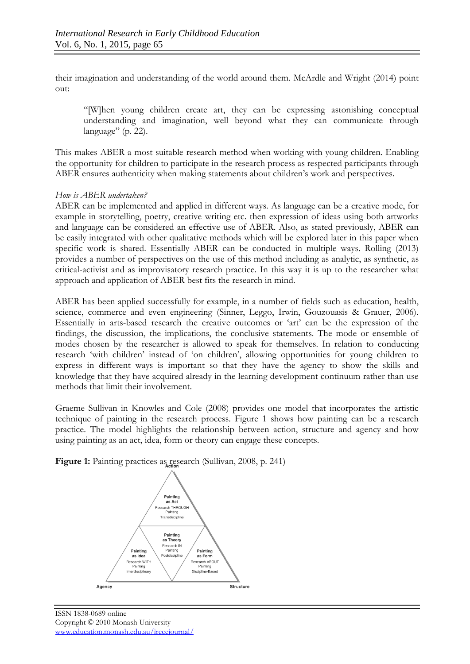their imagination and understanding of the world around them. McArdle and Wright (2014) point out:

"[W]hen young children create art, they can be expressing astonishing conceptual understanding and imagination, well beyond what they can communicate through language" (p. 22).

This makes ABER a most suitable research method when working with young children. Enabling the opportunity for children to participate in the research process as respected participants through ABER ensures authenticity when making statements about children's work and perspectives.

### *How is ABER undertaken?*

ABER can be implemented and applied in different ways. As language can be a creative mode, for example in storytelling, poetry, creative writing etc. then expression of ideas using both artworks and language can be considered an effective use of ABER. Also, as stated previously, ABER can be easily integrated with other qualitative methods which will be explored later in this paper when specific work is shared. Essentially ABER can be conducted in multiple ways. Rolling (2013) provides a number of perspectives on the use of this method including as analytic, as synthetic, as critical-activist and as improvisatory research practice. In this way it is up to the researcher what approach and application of ABER best fits the research in mind.

ABER has been applied successfully for example, in a number of fields such as education, health, science, commerce and even engineering (Sinner, Leggo, Irwin, Gouzouasis & Grauer, 2006). Essentially in arts-based research the creative outcomes or 'art' can be the expression of the findings, the discussion, the implications, the conclusive statements. The mode or ensemble of modes chosen by the researcher is allowed to speak for themselves. In relation to conducting research 'with children' instead of 'on children', allowing opportunities for young children to express in different ways is important so that they have the agency to show the skills and knowledge that they have acquired already in the learning development continuum rather than use methods that limit their involvement.

Graeme Sullivan in Knowles and Cole (2008) provides one model that incorporates the artistic technique of painting in the research process. Figure 1 shows how painting can be a research practice. The model highlights the relationship between action, structure and agency and how using painting as an act, idea, form or theory can engage these concepts.



**Figure 1:** Painting practices as research (Sullivan, 2008, p. 241)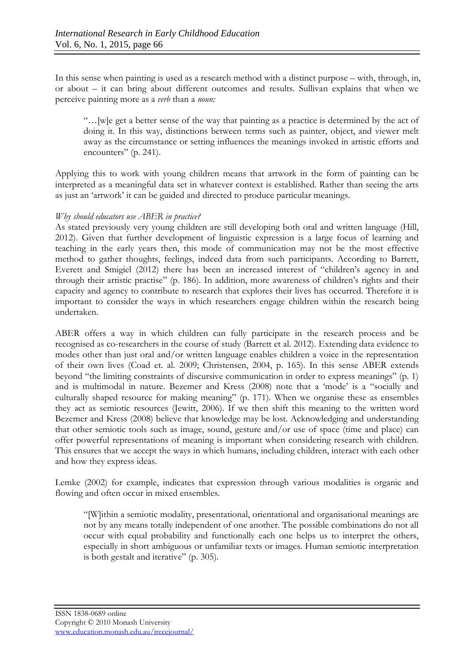In this sense when painting is used as a research method with a distinct purpose – with, through, in, or about – it can bring about different outcomes and results. Sullivan explains that when we perceive painting more as a *verb* than a *noun:* 

"…[w]e get a better sense of the way that painting as a practice is determined by the act of doing it. In this way, distinctions between terms such as painter, object, and viewer melt away as the circumstance or setting influences the meanings invoked in artistic efforts and encounters" (p. 241).

Applying this to work with young children means that artwork in the form of painting can be interpreted as a meaningful data set in whatever context is established. Rather than seeing the arts as just an 'artwork' it can be guided and directed to produce particular meanings.

#### *Why should educators use ABER in practice?*

As stated previously very young children are still developing both oral and written language (Hill, 2012). Given that further development of linguistic expression is a large focus of learning and teaching in the early years then, this mode of communication may not be the most effective method to gather thoughts, feelings, indeed data from such participants. According to Barrett, Everett and Smigiel (2012) there has been an increased interest of "children's agency in and through their artistic practise" (p. 186). In addition, more awareness of children's rights and their capacity and agency to contribute to research that explores their lives has occurred. Therefore it is important to consider the ways in which researchers engage children within the research being undertaken.

ABER offers a way in which children can fully participate in the research process and be recognised as co-researchers in the course of study (Barrett et al. 2012). Extending data evidence to modes other than just oral and/or written language enables children a voice in the representation of their own lives (Coad et. al. 2009; Christensen, 2004, p. 165). In this sense ABER extends beyond "the limiting constraints of discursive communication in order to express meanings" (p. 1) and is multimodal in nature. Bezemer and Kress (2008) note that a 'mode' is a "socially and culturally shaped resource for making meaning" (p. 171). When we organise these as ensembles they act as semiotic resources (Jewitt, 2006). If we then shift this meaning to the written word Bezemer and Kress (2008) believe that knowledge may be lost. Acknowledging and understanding that other semiotic tools such as image, sound, gesture and/or use of space (time and place) can offer powerful representations of meaning is important when considering research with children. This ensures that we accept the ways in which humans, including children, interact with each other and how they express ideas.

Lemke (2002) for example, indicates that expression through various modalities is organic and flowing and often occur in mixed ensembles.

"[W]ithin a semiotic modality, presentational, orientational and organisational meanings are not by any means totally independent of one another. The possible combinations do not all occur with equal probability and functionally each one helps us to interpret the others, especially in short ambiguous or unfamiliar texts or images. Human semiotic interpretation is both gestalt and iterative" (p. 305).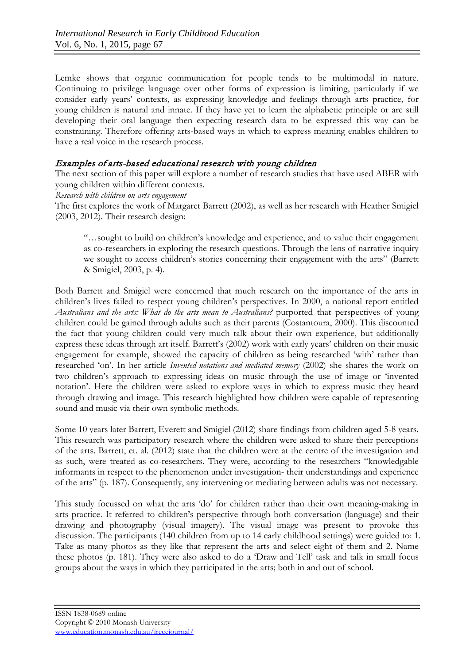Lemke shows that organic communication for people tends to be multimodal in nature. Continuing to privilege language over other forms of expression is limiting, particularly if we consider early years' contexts, as expressing knowledge and feelings through arts practice, for young children is natural and innate. If they have yet to learn the alphabetic principle or are still developing their oral language then expecting research data to be expressed this way can be constraining. Therefore offering arts-based ways in which to express meaning enables children to have a real voice in the research process.

### Examples of arts-based educational research with young children

The next section of this paper will explore a number of research studies that have used ABER with young children within different contexts.

*Research with children on arts engagement*

The first explores the work of Margaret Barrett (2002), as well as her research with Heather Smigiel (2003, 2012). Their research design:

"…sought to build on children's knowledge and experience, and to value their engagement as co-researchers in exploring the research questions. Through the lens of narrative inquiry we sought to access children's stories concerning their engagement with the arts" (Barrett & Smigiel, 2003, p. 4).

Both Barrett and Smigiel were concerned that much research on the importance of the arts in children's lives failed to respect young children's perspectives. In 2000, a national report entitled *Australians and the arts: What do the arts mean to Australians?* purported that perspectives of young children could be gained through adults such as their parents (Costantoura, 2000). This discounted the fact that young children could very much talk about their own experience, but additionally express these ideas through art itself. Barrett's (2002) work with early years' children on their music engagement for example, showed the capacity of children as being researched 'with' rather than researched 'on'. In her article *Invented notations and mediated memory* (2002) she shares the work on two children's approach to expressing ideas on music through the use of image or 'invented notation'. Here the children were asked to explore ways in which to express music they heard through drawing and image. This research highlighted how children were capable of representing sound and music via their own symbolic methods.

Some 10 years later Barrett, Everett and Smigiel (2012) share findings from children aged 5-8 years. This research was participatory research where the children were asked to share their perceptions of the arts. Barrett, et. al. (2012) state that the children were at the centre of the investigation and as such, were treated as co-researchers. They were, according to the researchers "knowledgable informants in respect to the phenomenon under investigation- their understandings and experience of the arts" (p. 187). Consequently, any intervening or mediating between adults was not necessary.

This study focussed on what the arts 'do' for children rather than their own meaning-making in arts practice. It referred to children's perspective through both conversation (language) and their drawing and photography (visual imagery). The visual image was present to provoke this discussion. The participants (140 children from up to 14 early childhood settings) were guided to: 1. Take as many photos as they like that represent the arts and select eight of them and 2. Name these photos (p. 181). They were also asked to do a 'Draw and Tell' task and talk in small focus groups about the ways in which they participated in the arts; both in and out of school.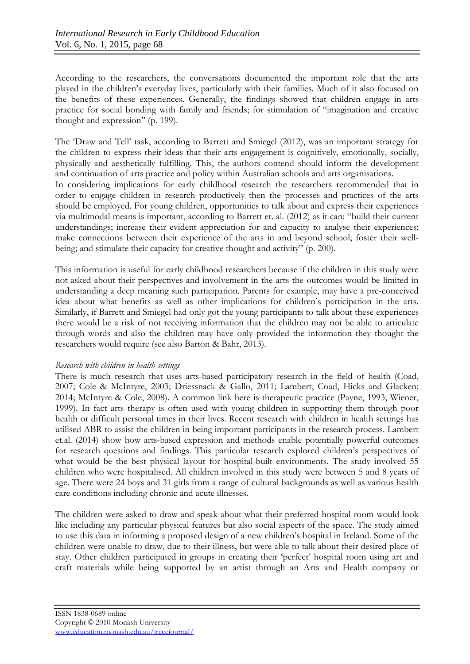According to the researchers, the conversations documented the important role that the arts played in the children's everyday lives, particularly with their families. Much of it also focused on the benefits of these experiences. Generally, the findings showed that children engage in arts practice for social bonding with family and friends; for stimulation of "imagination and creative thought and expression" (p. 199).

The 'Draw and Tell' task, according to Barrett and Smiegel (2012), was an important strategy for the children to express their ideas that their arts engagement is cognitively, emotionally, socially, physically and aesthetically fulfilling. This, the authors contend should inform the development and continuation of arts practice and policy within Australian schools and arts organisations. In considering implications for early childhood research the researchers recommended that in order to engage children in research productively then the processes and practices of the arts should be employed. For young children, opportunities to talk about and express their experiences via multimodal means is important, according to Barrett et. al. (2012) as it can: "build their current understandings; increase their evident appreciation for and capacity to analyse their experiences;

make connections between their experience of the arts in and beyond school; foster their well-

being; and stimulate their capacity for creative thought and activity" (p. 200).

This information is useful for early childhood researchers because if the children in this study were not asked about their perspectives and involvement in the arts the outcomes would be limited in understanding a deep meaning such participation. Parents for example, may have a pre-conceived idea about what benefits as well as other implications for children's participation in the arts. Similarly, if Barrett and Smiegel had only got the young participants to talk about these experiences there would be a risk of not receiving information that the children may not be able to articulate through words and also the children may have only provided the information they thought the researchers would require (see also Barton & Bahr, 2013).

#### *Research with children in health settings*

There is much research that uses arts-based participatory research in the field of health (Coad, 2007; Cole & McIntyre, 2003; Driessnack & Gallo, 2011; Lambert, Coad, Hicks and Glacken; 2014; McIntyre & Cole, 2008). A common link here is therapeutic practice (Payne, 1993; Wiener, 1999). In fact arts therapy is often used with young children in supporting them through poor health or difficult personal times in their lives. Recent research with children in health settings has utilised ABR to assist the children in being important participants in the research process. Lambert et.al. (2014) show how arts-based expression and methods enable potentially powerful outcomes for research questions and findings. This particular research explored children's perspectives of what would be the best physical layout for hospital-built environments. The study involved 55 children who were hospitalised. All children involved in this study were between 5 and 8 years of age. There were 24 boys and 31 girls from a range of cultural backgrounds as well as various health care conditions including chronic and acute illnesses.

The children were asked to draw and speak about what their preferred hospital room would look like including any particular physical features but also social aspects of the space. The study aimed to use this data in informing a proposed design of a new children's hospital in Ireland. Some of the children were unable to draw, due to their illness, but were able to talk about their desired place of stay. Other children participated in groups in creating their 'perfect' hospital room using art and craft materials while being supported by an artist through an Arts and Health company or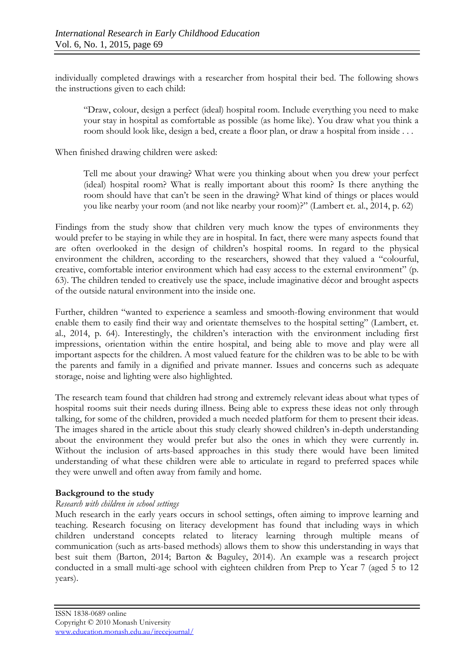individually completed drawings with a researcher from hospital their bed. The following shows the instructions given to each child:

"Draw, colour, design a perfect (ideal) hospital room. Include everything you need to make your stay in hospital as comfortable as possible (as home like). You draw what you think a room should look like, design a bed, create a floor plan, or draw a hospital from inside . . .

When finished drawing children were asked:

Tell me about your drawing? What were you thinking about when you drew your perfect (ideal) hospital room? What is really important about this room? Is there anything the room should have that can't be seen in the drawing? What kind of things or places would you like nearby your room (and not like nearby your room)?" (Lambert et. al., 2014, p. 62)

Findings from the study show that children very much know the types of environments they would prefer to be staying in while they are in hospital. In fact, there were many aspects found that are often overlooked in the design of children's hospital rooms. In regard to the physical environment the children, according to the researchers, showed that they valued a "colourful, creative, comfortable interior environment which had easy access to the external environment" (p. 63). The children tended to creatively use the space, include imaginative décor and brought aspects of the outside natural environment into the inside one.

Further, children "wanted to experience a seamless and smooth-flowing environment that would enable them to easily find their way and orientate themselves to the hospital setting" (Lambert, et. al., 2014, p. 64). Interestingly, the children's interaction with the environment including first impressions, orientation within the entire hospital, and being able to move and play were all important aspects for the children. A most valued feature for the children was to be able to be with the parents and family in a dignified and private manner. Issues and concerns such as adequate storage, noise and lighting were also highlighted.

The research team found that children had strong and extremely relevant ideas about what types of hospital rooms suit their needs during illness. Being able to express these ideas not only through talking, for some of the children, provided a much needed platform for them to present their ideas. The images shared in the article about this study clearly showed children's in-depth understanding about the environment they would prefer but also the ones in which they were currently in. Without the inclusion of arts-based approaches in this study there would have been limited understanding of what these children were able to articulate in regard to preferred spaces while they were unwell and often away from family and home.

## **Background to the study**

#### *Research with children in school settings*

Much research in the early years occurs in school settings, often aiming to improve learning and teaching. Research focusing on literacy development has found that including ways in which children understand concepts related to literacy learning through multiple means of communication (such as arts-based methods) allows them to show this understanding in ways that best suit them (Barton, 2014; Barton & Baguley, 2014). An example was a research project conducted in a small multi-age school with eighteen children from Prep to Year 7 (aged 5 to 12 years).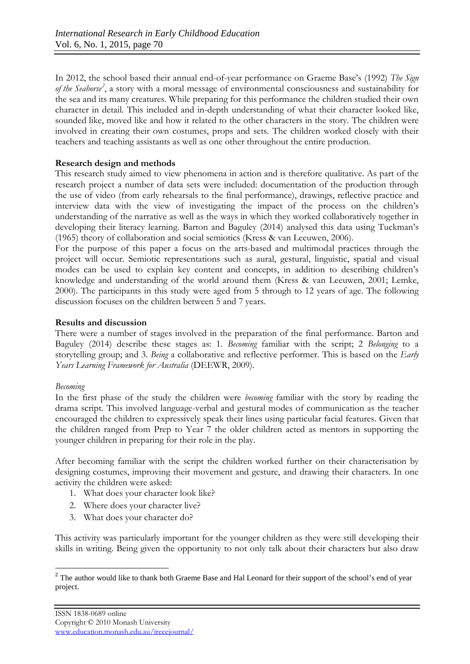In 2012, the school based their annual end-of-year performance on Graeme Base's (1992) *The Sign of the Seahorse[2](#page-8-0)* , a story with a moral message of environmental consciousness and sustainability for the sea and its many creatures. While preparing for this performance the children studied their own character in detail. This included and in-depth understanding of what their character looked like, sounded like, moved like and how it related to the other characters in the story. The children were involved in creating their own costumes, props and sets. The children worked closely with their teachers and teaching assistants as well as one other throughout the entire production.

#### **Research design and methods**

This research study aimed to view phenomena in action and is therefore qualitative. As part of the research project a number of data sets were included: documentation of the production through the use of video (from early rehearsals to the final performance), drawings, reflective practice and interview data with the view of investigating the impact of the process on the children's understanding of the narrative as well as the ways in which they worked collaboratively together in developing their literacy learning. Barton and Baguley (2014) analysed this data using Tuckman's (1965) theory of collaboration and social semiotics (Kress & van Leeuwen, 2006).

For the purpose of this paper a focus on the arts-based and multimodal practices through the project will occur. Semiotic representations such as aural, gestural, linguistic, spatial and visual modes can be used to explain key content and concepts, in addition to describing children's knowledge and understanding of the world around them (Kress & van Leeuwen, 2001; Lemke, 2000). The participants in this study were aged from 5 through to 12 years of age. The following discussion focuses on the children between 5 and 7 years.

### **Results and discussion**

There were a number of stages involved in the preparation of the final performance. Barton and Baguley (2014) describe these stages as: 1. *Becoming* familiar with the script; 2 *Belonging* to a storytelling group; and 3. *Being* a collaborative and reflective performer. This is based on the *Early Years Learning Framework for Australia* (DEEWR, 2009).

#### *Becoming*

In the first phase of the study the children were *becoming* familiar with the story by reading the drama script. This involved language-verbal and gestural modes of communication as the teacher encouraged the children to expressively speak their lines using particular facial features. Given that the children ranged from Prep to Year 7 the older children acted as mentors in supporting the younger children in preparing for their role in the play.

After becoming familiar with the script the children worked further on their characterisation by designing costumes, improving their movement and gesture, and drawing their characters. In one activity the children were asked:

- 1. What does your character look like?
- 2. Where does your character live?
- 3. What does your character do?

This activity was particularly important for the younger children as they were still developing their skills in writing. Being given the opportunity to not only talk about their characters but also draw

<span id="page-8-0"></span><sup>&</sup>lt;sup>2</sup> The author would like to thank both Graeme Base and Hal Leonard for their support of the school's end of year project.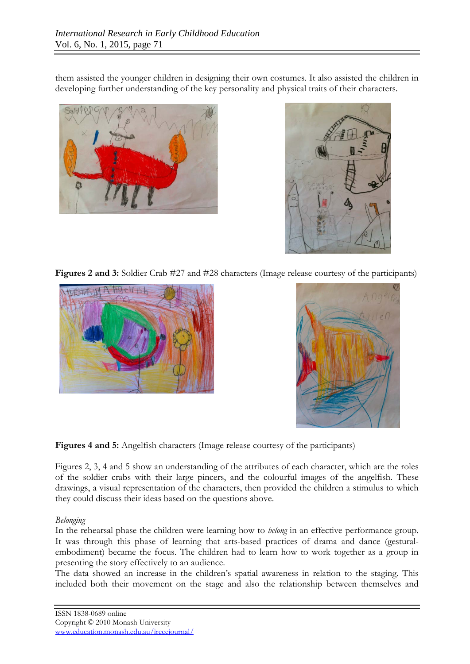them assisted the younger children in designing their own costumes. It also assisted the children in developing further understanding of the key personality and physical traits of their characters.





**Figures 2 and 3:** Soldier Crab #27 and #28 characters (Image release courtesy of the participants)





**Figures 4 and 5:** Angelfish characters (Image release courtesy of the participants)

Figures 2, 3, 4 and 5 show an understanding of the attributes of each character, which are the roles of the soldier crabs with their large pincers, and the colourful images of the angelfish. These drawings, a visual representation of the characters, then provided the children a stimulus to which they could discuss their ideas based on the questions above.

#### *Belonging*

In the rehearsal phase the children were learning how to *belong* in an effective performance group. It was through this phase of learning that arts-based practices of drama and dance (gesturalembodiment) became the focus. The children had to learn how to work together as a group in presenting the story effectively to an audience.

The data showed an increase in the children's spatial awareness in relation to the staging. This included both their movement on the stage and also the relationship between themselves and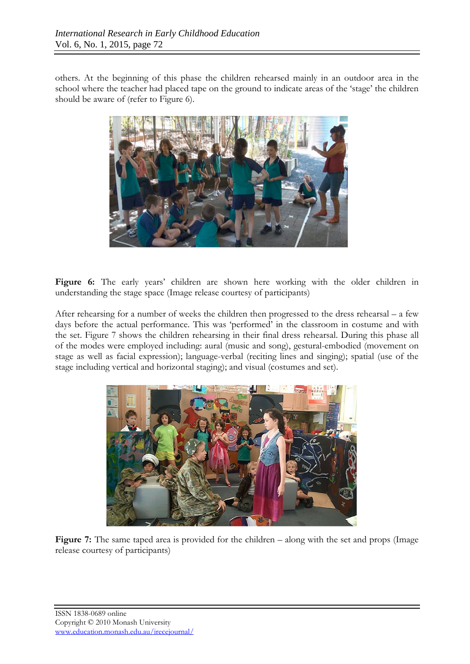others. At the beginning of this phase the children rehearsed mainly in an outdoor area in the school where the teacher had placed tape on the ground to indicate areas of the 'stage' the children should be aware of (refer to Figure 6).



Figure 6: The early years' children are shown here working with the older children in understanding the stage space (Image release courtesy of participants)

After rehearsing for a number of weeks the children then progressed to the dress rehearsal – a few days before the actual performance. This was 'performed' in the classroom in costume and with the set. Figure 7 shows the children rehearsing in their final dress rehearsal. During this phase all of the modes were employed including: aural (music and song), gestural-embodied (movement on stage as well as facial expression); language-verbal (reciting lines and singing); spatial (use of the stage including vertical and horizontal staging); and visual (costumes and set).



Figure 7: The same taped area is provided for the children – along with the set and props (Image release courtesy of participants)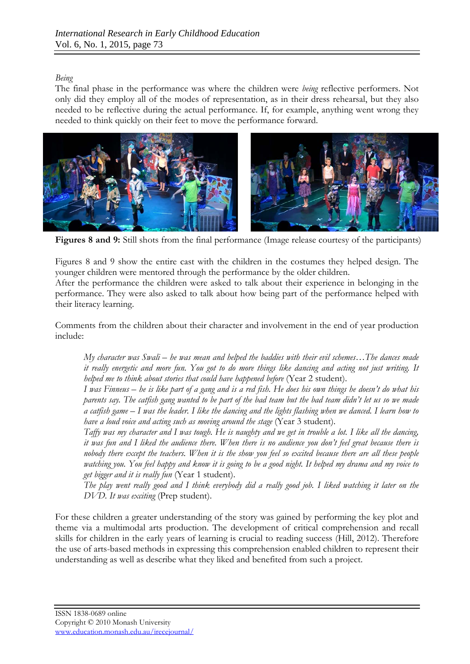# *Being*

The final phase in the performance was where the children were *being* reflective performers. Not only did they employ all of the modes of representation, as in their dress rehearsal, but they also needed to be reflective during the actual performance. If, for example, anything went wrong they needed to think quickly on their feet to move the performance forward.



**Figures 8 and 9:** Still shots from the final performance (Image release courtesy of the participants)

Figures 8 and 9 show the entire cast with the children in the costumes they helped design. The younger children were mentored through the performance by the older children.

After the performance the children were asked to talk about their experience in belonging in the performance. They were also asked to talk about how being part of the performance helped with their literacy learning.

Comments from the children about their character and involvement in the end of year production include:

*My character was Swali – he was mean and helped the baddies with their evil schemes…The dances made it really energetic and more fun. You got to do more things like dancing and acting not just writing. It helped me to think about stories that could have happened before* (Year 2 student).

*I was Finneus – he is like part of a gang and is a red fish. He does his own things he doesn't do what his parents say. The catfish gang wanted to be part of the bad team but the bad team didn't let us so we made a catfish game – I was the leader. I like the dancing and the lights flashing when we danced. I learn how to have a loud voice and acting such as moving around the stage* (Year 3 student).

*Taffy was my character and I was tough. He is naughty and we get in trouble a lot. I like all the dancing, it was fun and I liked the audience there. When there is no audience you don't feel great because there is nobody there except the teachers. When it is the show you feel so excited because there are all these people watching you. You feel happy and know it is going to be a good night. It helped my drama and my voice to get bigger and it is really fun* (Year 1 student).

*The play went really good and I think everybody did a really good job. I liked watching it later on the DVD. It was exciting* (Prep student).

For these children a greater understanding of the story was gained by performing the key plot and theme via a multimodal arts production. The development of critical comprehension and recall skills for children in the early years of learning is crucial to reading success (Hill, 2012). Therefore the use of arts-based methods in expressing this comprehension enabled children to represent their understanding as well as describe what they liked and benefited from such a project.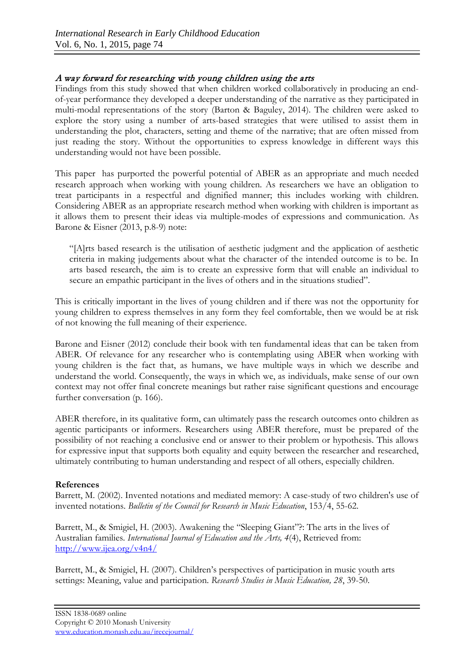# A way forward for researching with young children using the arts

Findings from this study showed that when children worked collaboratively in producing an endof-year performance they developed a deeper understanding of the narrative as they participated in multi-modal representations of the story (Barton & Baguley, 2014). The children were asked to explore the story using a number of arts-based strategies that were utilised to assist them in understanding the plot, characters, setting and theme of the narrative; that are often missed from just reading the story. Without the opportunities to express knowledge in different ways this understanding would not have been possible.

This paper has purported the powerful potential of ABER as an appropriate and much needed research approach when working with young children. As researchers we have an obligation to treat participants in a respectful and dignified manner; this includes working with children. Considering ABER as an appropriate research method when working with children is important as it allows them to present their ideas via multiple-modes of expressions and communication. As Barone & Eisner (2013, p.8-9) note:

"[A]rts based research is the utilisation of aesthetic judgment and the application of aesthetic criteria in making judgements about what the character of the intended outcome is to be. In arts based research, the aim is to create an expressive form that will enable an individual to secure an empathic participant in the lives of others and in the situations studied".

This is critically important in the lives of young children and if there was not the opportunity for young children to express themselves in any form they feel comfortable, then we would be at risk of not knowing the full meaning of their experience.

Barone and Eisner (2012) conclude their book with ten fundamental ideas that can be taken from ABER. Of relevance for any researcher who is contemplating using ABER when working with young children is the fact that, as humans, we have multiple ways in which we describe and understand the world. Consequently, the ways in which we, as individuals, make sense of our own context may not offer final concrete meanings but rather raise significant questions and encourage further conversation (p. 166).

ABER therefore, in its qualitative form, can ultimately pass the research outcomes onto children as agentic participants or informers. Researchers using ABER therefore, must be prepared of the possibility of not reaching a conclusive end or answer to their problem or hypothesis. This allows for expressive input that supports both equality and equity between the researcher and researched, ultimately contributing to human understanding and respect of all others, especially children.

## **References**

Barrett, M. (2002). Invented notations and mediated memory: A case-study of two children's use of invented notations. *Bulletin of the Council for Research in Music Education*, 153/4, 55-62.

Barrett, M., & Smigiel, H. (2003). Awakening the "Sleeping Giant"?: The arts in the lives of Australian families. *International Journal of Education and the Arts, 4*(4), Retrieved from: <http://www.ijea.org/v4n4/>

Barrett, M., & Smigiel, H. (2007). Children's perspectives of participation in music youth arts settings: Meaning, value and participation. *Research Studies in Music Education, 28*, 39-50.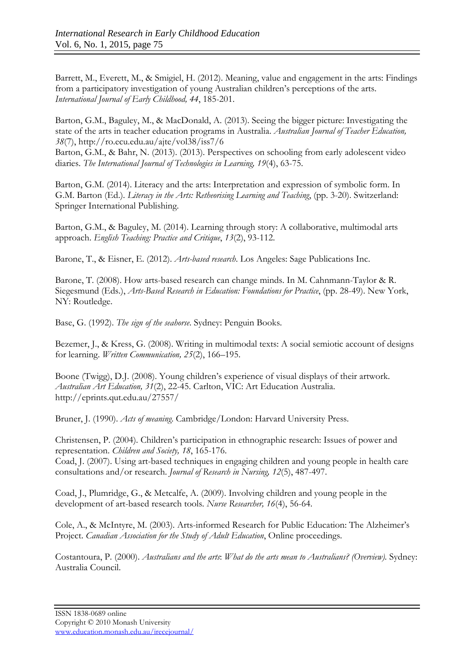Barrett, M., Everett, M., & Smigiel, H. (2012). Meaning, value and engagement in the arts: Findings from a participatory investigation of young Australian children's perceptions of the arts. *International Journal of Early Childhood, 44*, 185-201.

Barton, G.M., Baguley, M., & MacDonald, A. (2013). Seeing the bigger picture: Investigating the state of the arts in teacher education programs in Australia. *Australian Journal of Teacher Education, 38*(7),<http://ro.ecu.edu.au/ajte/vol38/iss7/6>

Barton, G.M., & Bahr, N. (2013). (2013). Perspectives on schooling from early adolescent video diaries. *The International Journal of Technologies in Learning, 19*(4), 63-75.

Barton, G.M. (2014). Literacy and the arts: Interpretation and expression of symbolic form. In G.M. Barton (Ed.). *Literacy in the Arts: Retheorising Learning and Teaching*, (pp. 3-20). Switzerland: Springer International Publishing.

Barton, G.M., & Baguley, M. (2014). Learning through story: A collaborative, multimodal arts approach. *English Teaching: Practice and Critique*, *13*(2), 93-112.

Barone, T., & Eisner, E. (2012). *Arts-based research*. Los Angeles: Sage Publications Inc.

Barone, T. (2008). How arts-based research can change minds. In M. Cahnmann-Taylor & R. Siegesmund (Eds.), *Arts-Based Research in Education: Foundations for Practice*, (pp. 28-49). New York, NY: Routledge.

Base, G. (1992). *The sign of the seahorse*. Sydney: Penguin Books.

Bezemer, J., & Kress, G. (2008). Writing in multimodal texts: A social semiotic account of designs for learning. *Written Communication, 25*(2), 166–195.

Boone (Twigg), D.J. (2008). Young children's experience of visual displays of their artwork. *Australian Art Education, 31*(2), 22-45. Carlton, VIC: Art Education Australia. <http://eprints.qut.edu.au/27557/>

Bruner, J. (1990). *Acts of meaning*. Cambridge/London: Harvard University Press.

Christensen, P. (2004). Children's participation in ethnographic research: Issues of power and representation. *Children and Society, 18*, 165-176.

Coad, J. (2007). Using art-based techniques in engaging children and young people in health care consultations and/or research. *Journal of Research in Nursing, 12*(5), 487-497.

Coad, J., Plumridge, G., & Metcalfe, A. (2009). Involving children and young people in the development of art-based research tools. *Nurse Researcher, 16*(4), 56-64.

Cole, A., & McIntyre, M. (2003). Arts-informed Research for Public Education: The Alzheimer's Project. *Canadian Association for the Study of Adult Education*, Online proceedings.

Costantoura, P. (2000). *Australians and the arts*: *What do the arts mean to Australians? (Overview).* Sydney: Australia Council.

ISSN 1838-0689 online Copyright © 2010 Monash University [www.education.monash.edu.au/irecejournal/](http://www.education.monash.edu.au/irecejournal/)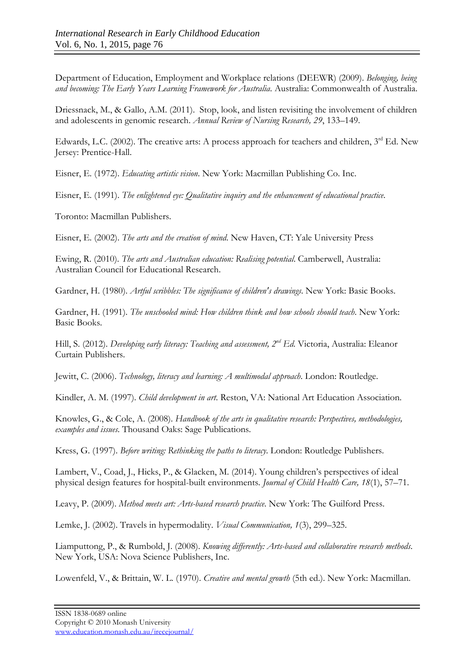Department of Education, Employment and Workplace relations (DEEWR) (2009). *Belonging, being and becoming: The Early Years Learning Framework for Australia*. Australia: Commonwealth of Australia.

Driessnack, M., & Gallo, A.M. (2011). Stop, look, and listen revisiting the involvement of children and adolescents in genomic research. *Annual Review of Nursing Research, 29*, 133–149.

Edwards, L.C. (2002). The creative arts: A process approach for teachers and children, 3rd Ed. New Jersey: Prentice-Hall.

Eisner, E. (1972). *Educating artistic vision*. New York: Macmillan Publishing Co. Inc.

Eisner, E. (1991). *The enlightened eye: Qualitative inquiry and the enhancement of educational practice*.

Toronto: Macmillan Publishers.

Eisner, E. (2002). *The arts and the creation of mind*. New Haven, CT: Yale University Press

Ewing, R. (2010). *The arts and Australian education: Realising potential*. Camberwell, Australia: Australian Council for Educational Research.

Gardner, H. (1980). *Artful scribbles: The significance of children's drawings*. New York: Basic Books.

Gardner, H. (1991). *The unschooled mind: How children think and how schools should teach*. New York: Basic Books.

Hill, S. (2012). *Developing early literacy: Teaching and assessment, 2nd Ed*. Victoria, Australia: Eleanor Curtain Publishers.

Jewitt, C. (2006). *Technology, literacy and learning: A multimodal approach*. London: Routledge.

Kindler, A. M. (1997). *Child development in art*. Reston, VA: National Art Education Association.

Knowles, G., & Cole, A. (2008). *Handbook of the arts in qualitative research: Perspectives, methodologies, examples and issues*. Thousand Oaks: Sage Publications.

Kress, G. (1997). *Before writing: Rethinking the paths to literacy*. London: Routledge Publishers.

Lambert, V., Coad, J., Hicks, P., & Glacken, M. (2014). Young children's perspectives of ideal physical design features for hospital-built environments. *Journal of Child Health Care, 18*(1), 57–71.

Leavy, P. (2009). *Method meets art: Arts-based research practice*. New York: The Guilford Press.

Lemke, J. (2002). Travels in hypermodality. *Visual Communication, 1*(3), 299–325.

Liamputtong, P., & Rumbold, J. (2008). *Knowing differently: Arts-based and collaborative research methods*. New York, USA: Nova Science Publishers, Inc.

Lowenfeld, V., & Brittain, W. L. (1970). *Creative and mental growth* (5th ed.). New York: Macmillan.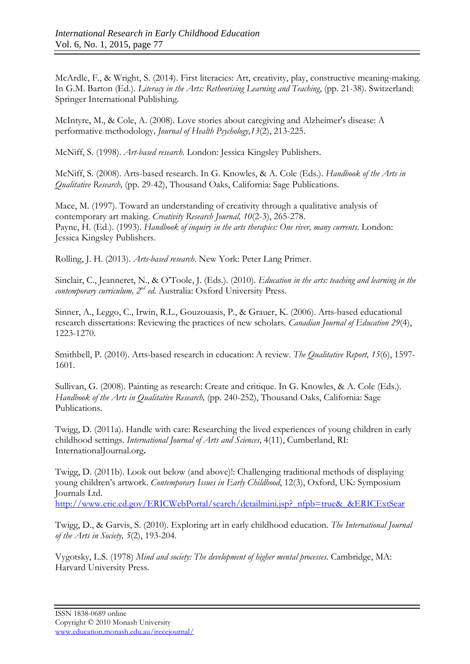McArdle, F., & Wright, S. (2014). First literacies: Art, creativity, play, constructive meaning-making. In G.M. Barton (Ed.). *Literacy in the Arts: Retheorising Learning and Teaching*, (pp. 21-38). Switzerland: Springer International Publishing.

McIntyre, M., & Cole, A. (2008). Love stories about caregiving and Alzheimer's disease: A performative methodology*, Journal of Health Psychology,13*(2), 213-225.

McNiff, S. (1998). *Art-based research.* London: Jessica Kingsley Publishers.

McNiff, S. (2008). Arts-based research. In G. Knowles, & A. Cole (Eds.). *Handbook of the Arts in Qualitative Research,* (pp. 29-42), Thousand Oaks, California: Sage Publications.

Mace, M. (1997). Toward an understanding of creativity through a qualitative analysis of contemporary art making. *Creativity Research Journal, 10*(2-3), 265-278. Payne, H. (Ed.). (1993). *Handbook of inquiry in the arts therapies: One river, many currents*. London: Jessica Kingsley Publishers.

Rolling, J. H. (2013). *Arts-based research*. New York: Peter Lang Primer.

Sinclair, C., Jeanneret, N., & O'Toole, J. (Eds.). (2010). *Education in the arts: teaching and learning in the contemporary curriculum, 2nd ed*. Australia: Oxford University Press.

Sinner, A., Leggo, C., Irwin, R.L., Gouzouasis, P., & Grauer, K. (2006). Arts-based educational research dissertations: Reviewing the practices of new scholars. *Canadian Journal of Education 29*(4), 1223-1270.

Smithbell, P. (2010). Arts-based research in education: A review. *The Qualitative Report, 15*(6), 1597- 1601.

Sullivan, G. (2008). Painting as research: Create and critique. In G. Knowles, & A. Cole (Eds.). *Handbook of the Arts in Qualitative Research, (pp. 240-252), Thousand Oaks, California: Sage* Publications.

Twigg, D. (2011a). Handle with care: Researching the lived experiences of young children in early childhood settings. *International Journal of Arts and Sciences*, 4(11), Cumberland, RI: InternationalJournal.org**.**

Twigg, D. (2011b). Look out below (and above)!: Challenging traditional methods of displaying young children's artwork. *Contemporary Issues in Early Childhood*, 12(3), Oxford, UK: Symposium Journals Ltd.

[http://www.eric.ed.gov/ERICWebPortal/search/detailmini.jsp?\\_nfpb=true&\\_&ERICExtSear](http://www.eric.ed.gov/ERICWebPortal/search/detailmini.jsp?_nfpb=true&_&ERICExtSear)

Twigg, D., & Garvis, S. (2010). Exploring art in early childhood education. *The International Journal of the Arts in Society, 5*(2), 193-204.

Vygotsky, L.S. (1978) *Mind and society: The development of higher mental processes*. Cambridge, MA: Harvard University Press.